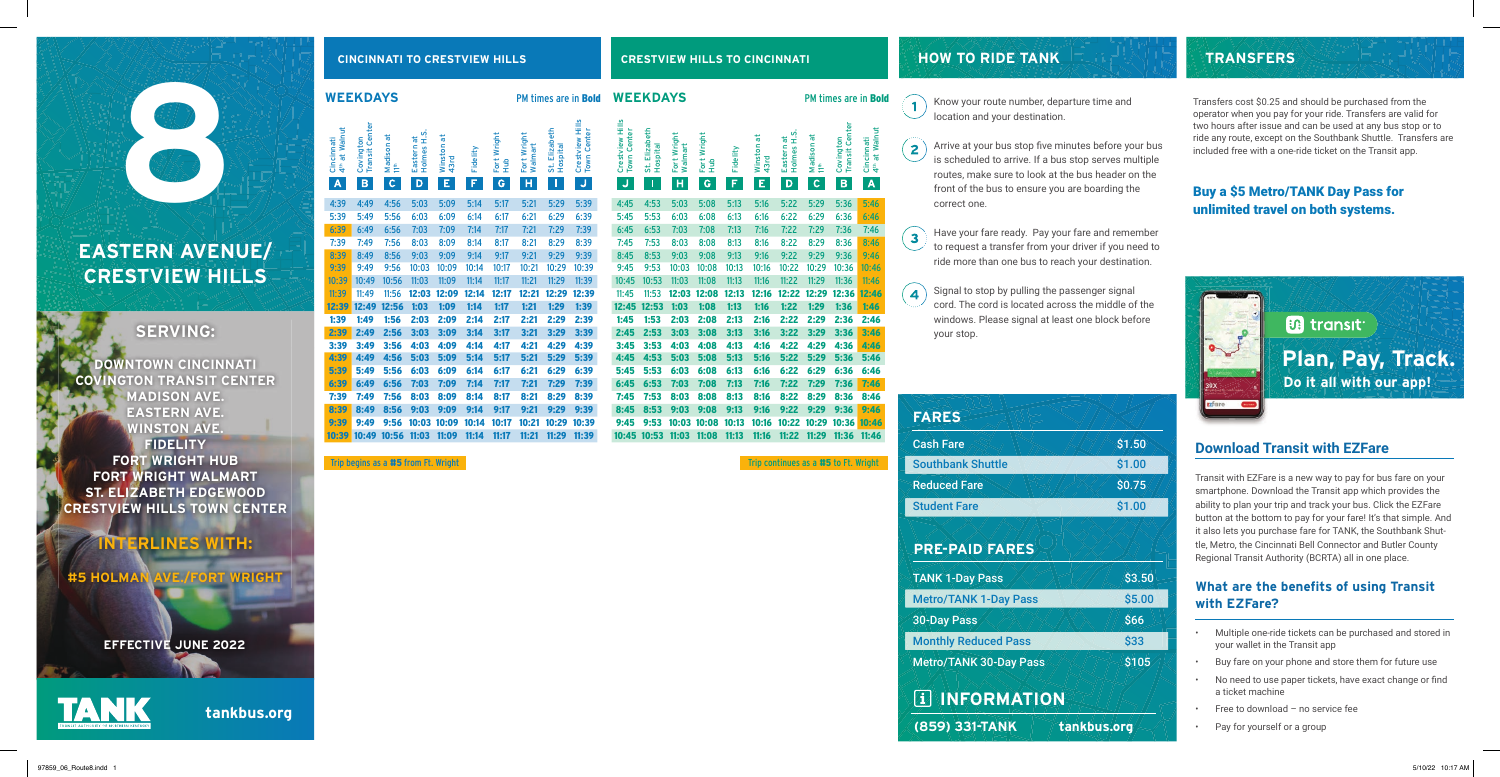**tankbus.org**

### **WEEKDAYS WEEKDAYS**

|                                  | <b>WEEKDAYS</b>                  |                                         |                                           |                            |               |                         |                             |                           | PM times are in <b>Bold</b>                | W               |
|----------------------------------|----------------------------------|-----------------------------------------|-------------------------------------------|----------------------------|---------------|-------------------------|-----------------------------|---------------------------|--------------------------------------------|-----------------|
| 4th at Walnut<br>Cincinnati<br>A | Covington<br>Transit Center<br>B | Madison at<br>$\uparrow$<br>$\mathsf c$ | Holmes <sub>H.S.</sub><br>Eastern at<br>D | ᠊ᢛ<br>Winston<br>43rd<br>E | Fidelity<br>F | Fort Wright<br>Hub<br>G | Fort Wright<br>Walmart<br>H | St. Elizabeth<br>Hospital | Crestview Hills<br><b>Town Center</b><br>J | Crestview Hills |
| 4:39                             | 4:49                             | 4:56                                    | 5:03                                      | 5:09                       | 5:14          | 5:17                    | 5:21                        | 5:29                      | 5:39                                       | $\overline{4}$  |
| 5:39                             | 5:49                             | 5:56                                    | 6:03                                      | 6:09                       | 6:14          | 6:17                    | 6:21                        | 6:29                      | 6:39                                       | 5               |
| 6:39                             | 6:49                             | 6:56                                    | 7:03                                      | 7:09                       | 7:14          | 7:17                    | 7:21                        | 7:29                      | 7:39                                       | 6 <sup>2</sup>  |
| 7:39                             | 7:49                             | 7:56                                    | 8:03                                      | 8:09                       | 8:14          | 8:17                    | 8:21                        | 8:29                      | 8:39                                       | $\overline{t}$  |
| 8:39                             | 8:49                             | 8:56                                    | 9:03                                      | 9:09                       | 9:14          | 9:17                    | 9:21                        | 9:29                      | 9:39                                       | 8               |
| 9:39                             | 9:49                             | 9:56                                    | 10:03                                     | 10:09                      | 10:14         | 10:17                   | 10:21                       | 10:29                     | 10:39                                      | 9               |
| 10:39                            | 10:49                            | 10:56                                   | 11:03                                     | 11:09                      | 11:14         | 11:17                   | 11:21                       | 11:29                     | 11:39                                      | 10              |
| 11:39                            | 11:49                            | 11:56                                   | 12:03                                     | 12:09                      | 12:14         | 12:17                   | 12:21                       | 12:29                     | 12:39                                      | 11              |
| 12:39                            | 12:49                            | 12:56                                   | 1:03                                      | 1:09                       | 1:14          | 1:17                    | 1:21                        | 1:29                      | 1:39                                       | 12              |
| 1:39                             | 1:49                             | 1:56                                    | 2:03                                      | 2:09                       | 2:14          | 2:17                    | 2:21                        | 2:29                      | 2:39                                       | 1:              |
| 2:39                             | 2:49                             | 2:56                                    | 3:03                                      | 3:09                       | 3:14          | 3:17                    | 3:21                        | 3:29                      | 3:39                                       | 2               |
| 3:39                             | 3:49                             | 3:56                                    | 4:03                                      | 4:09                       | 4:14          | 4:17                    | 4:21                        | 4:29                      | 4:39                                       | 3 <sub>i</sub>  |
| 4:39                             | 4:49                             | 4:56                                    | 5:03                                      | 5:09                       | 5:14          | 5:17                    | 5:21                        | 5:29                      | 5:39                                       | 4               |
| 5:39                             | 5:49                             | 5:56                                    | 6:03                                      | 6:09                       | 6:14          | 6:17                    | 6:21                        | 6:29                      | 6:39                                       | 5:              |
| 6:39                             | 6:49                             | 6:56                                    | 7:03                                      | 7:09                       | 7:14          | 7:17                    | 7:21                        | 7:29                      | 7:39                                       | 6               |
| 7:39                             | 7:49                             | 7:56                                    | 8:03                                      | 8:09                       | 8:14          | 8:17                    | 8:21                        | 8:29                      | 8:39                                       | 7               |
| 8:39                             | 8:49                             | 8:56                                    | 9:03                                      | 9:09                       | 9:14          | 9:17                    | 9:21                        | 9:29                      | 9:39                                       | 8               |
| 9:39                             | 9:49                             | 9:56                                    | 10:03                                     | 10:09                      | 10:14         | 10:17                   | 10:21                       | 10:29                     | 10:39                                      | 9               |
| 10:39                            | 10:49                            | 10:56                                   | 11:03                                     | 11:09                      | 11:14         | 11:17                   | 11:21                       | 11:29                     | 11:39                                      | 10              |

Trip begins as a #5 from Ft. Wright Trip continues as a #5 to Ft. Wright Trip continues as a #5 to Ft. Wright

PM times are in **Bold**  $\qquad \qquad$  Know your route number, departure time and location and your destination.

|                                          |                           |                        |                              |          | ᢛ               | ι.<br>Ξ<br>$\ddot{a}$ | đ               |                                    |                                         |
|------------------------------------------|---------------------------|------------------------|------------------------------|----------|-----------------|-----------------------|-----------------|------------------------------------|-----------------------------------------|
|                                          |                           |                        |                              |          |                 |                       |                 |                                    |                                         |
| Crestview<br>Hills<br><b>Town Center</b> | St. Elizabeth<br>Hospital | Fort Wright<br>Walmart | Fort Wright<br>$\frac{1}{2}$ | Fidelity | Winston<br>43rd | Eastern<br>Holmes     | Madison<br>11th | <b>Transit Center</b><br>Covington | 4 <sup>th</sup> at Walnut<br>Cincinnati |
|                                          |                           |                        |                              |          |                 |                       |                 |                                    |                                         |
| O                                        | Ī                         | н                      | G                            | F        | E               | D                     | $\mathsf c$     | B                                  | A                                       |
| 4:45                                     | 4:53                      | 5:03                   | 5:08                         | 5:13     | 5:16            | 5:22                  | 5:29            | 5:36                               | 5:46                                    |
| 5:45                                     | 5:53                      | 6:03                   | 6:08                         | 6:13     | 6:16            | 6:22                  | 6:29            | 6:36                               | 6:46                                    |
| 6:45                                     | 6:53                      | 7:03                   | 7:08                         | 7:13     | 7:16            | 7:22                  | 7:29            | 7:36                               | 7:46                                    |
| 7:45                                     | 7:53                      | 8:03                   | 8:08                         | 8:13     | 8:16            | 8:22                  | 8:29            | 8:36                               | 8:46                                    |
| 8:45                                     | 8:53                      | 9:03                   | 9:08                         | 9:13     | 9:16            | 9:22                  | 9:29            | 9:36                               | 9:46                                    |
| 9:45                                     | 9:53                      | 10:03                  | 10:08                        | 10:13    | 10:16           | 10:22                 | 10:29           | 10:36                              | 10:46                                   |
| 10:45                                    | 10:53                     | 11:03                  | 11:08                        | 11:13    | 11:16           | 11:22                 | 11:29           | 11:36                              | 11:46                                   |
|                                          |                           |                        |                              |          |                 |                       |                 |                                    | 12:46                                   |
| 11:45                                    | 11:53                     | 12:03                  | 12:08                        | 12:13    | 12:16           | 12:22                 | 12:29           | 12:36                              |                                         |
| 12:45                                    | 12:53                     | 1:03                   | 1:08                         | 1:13     | 1:16            | 1:22                  | 1:29            | 1:36                               | 1:46                                    |
| 1:45                                     | 1:53                      | 2:03                   | 2:08                         | 2:13     | 2:16            | 2:22                  | 2:29            | 2:36                               | 2:46                                    |
| 2:45                                     | 2:53                      | 3:03                   | 3:08                         | 3:13     | 3:16            | 3:22                  | 3:29            | 3:36                               | 3:46                                    |
| 3:45                                     | 3:53                      | 4:03                   | 4:08                         | 4:13     | 4:16            | 4:22                  | 4:29            | 4:36                               | 4:46                                    |
| 4:45                                     | 4:53                      | 5:03                   | 5:08                         | 5:13     | 5:16            | 5:22                  | 5:29            | 5:36                               | 5:46                                    |
| 5:45                                     | 5:53                      | 6:03                   | 6:08                         | 6:13     | 6:16            | 6:22                  | 6:29            | 6:36                               | 6:46                                    |
| 6:45                                     | 6:53                      | 7:03                   | 7:08                         | 7:13     | 7:16            | 7:22                  | 7:29            | 7:36                               | 7:46                                    |
| 7:45                                     | 7:53                      | 8:03                   | 8:08                         | 8:13     | 8:16            | 8:22                  | 8:29            | 8:36                               | 8:46                                    |
| 8:45                                     | 8:53                      | 9:03                   | 9:08                         | 9:13     | 9:16            | 9:22                  | 9:29            | 9:36                               | 9:46                                    |
| 9:45                                     | 9:53                      | 10:03                  | 10:08                        | 10:13    | 10:16           | 10:22                 | 10:29           | 10:36                              | 10:46                                   |
| 10:45                                    | 10:53                     | 11:03                  | 11:08                        | 11:13    | 11:16           | 11:22                 | 11:29           | 11:36                              | 11:46                                   |

 $\overline{\mathbf{4}}$ your stop.



Arrive at your bus stop five minutes before your bus is scheduled to arrive. If a bus stop serves multiple routes, make sure to look at the bus header on the front of the bus to ensure you are boarding the correct one.

Have your fare ready. Pay your fare and remember to request a transfer from your driver if you need to ride more than one bus to reach your destination.

Signal to stop by pulling the passenger signal cord. The cord is located across the middle of the windows. Please signal at least one block before

# **HOW TO RIDE TANK**

 $\overline{2}$ 

 $\mathbf{3}$ 

## **Download Transit with EZFare**

Transit with EZFare is a new way to pay for bus fare on your smartphone. Download the Transit app which provides the ability to plan your trip and track your bus. Click the EZFare button at the bottom to pay for your fare! It's that simple. And it also lets you purchase fare for TANK, the Southbank Shuttle, Metro, the Cincinnati Bell Connector and Butler County Regional Transit Authority (BCRTA) all in one place.

### **What are the benefits of using Transit with EZFare?**

- Multiple one-ride tickets can be purchased and stored in your wallet in the Transit app
- Buy fare on your phone and store them for future use
- No need to use paper tickets, have exact change or find a ticket machine
- Free to download no service fee
- Pay for yourself or a group



## **TRANSFERS**

### **PRE-PAID FARES**

 **INFORMATION**

| <b>FARES</b>             |
|--------------------------|
| <b>Cash Fare</b>         |
| <b>Southbank Shuttle</b> |
| <b>Reduced Fare</b>      |
| <b>Student Fare</b>      |



TANK 1-Day Pass

Metro/TANK 1-Day Pass

30-Day Pass

Monthly Reduced Pass Metro/TANK 30-Day Pass

**EFFECTIVE JUNE 2022**

Transfers cost \$0.25 and should be purchased from the operator when you pay for your ride. Transfers are valid for two hours after issue and can be used at any bus stop or to ride any route, except on the Southbank Shuttle. Transfers are included free with a one-ride ticket on the Transit app.

### Buy a \$5 Metro/TANK Day Pass for unlimited travel on both systems.

## **SERVING:**

**DOWNTOWN CINCINNATI COVINGTON TRANSIT CENTER MADISON AVE. EASTERN AVE. WINSTON AVE. FIDELITY FORT WRIGHT HUB FORT WRIGHT WALMART ST. ELIZABETH EDGEWOOD CRESTVIEW HILLS TOWN CENTER**

## **INTERLINES WITH:**

**#5 HOLMAN AVE./FORT WRIGHT**

## **EASTERN AVENUE/ CRESTVIEW HILLS**

**8**